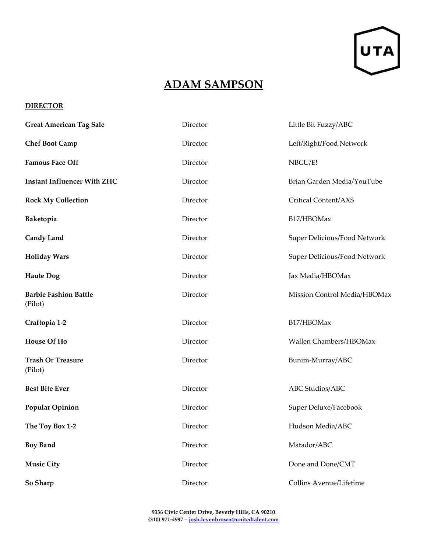

## **ADAM SAMPSON**

## **DIRECTOR**

| <b>Great American Tag Sale</b>          | Director | Little Bit Fuzzy/ABC         |
|-----------------------------------------|----------|------------------------------|
| <b>Chef Boot Camp</b>                   | Director | Left/Right/Food Network      |
| <b>Famous Face Off</b>                  | Director | NBCU/E!                      |
| <b>Instant Influencer With ZHC</b>      | Director | Brian Garden Media/YouTube   |
| <b>Rock My Collection</b>               | Director | Critical Content/AXS         |
| Baketopia                               | Director | B17/HBOMax                   |
| <b>Candy Land</b>                       | Director | Super Delicious/Food Network |
| <b>Holiday Wars</b>                     | Director | Super Delicious/Food Network |
| <b>Haute Dog</b>                        | Director | Jax Media/HBOMax             |
| <b>Barbie Fashion Battle</b><br>(Pilot) | Director | Mission Control Media/HBOMax |
| Craftopia 1-2                           | Director | B17/HBOMax                   |
| <b>House Of Ho</b>                      | Director | Wallen Chambers/HBOMax       |
| <b>Trash Or Treasure</b><br>(Pilot)     | Director | Bunim-Murray/ABC             |
| <b>Best Bite Ever</b>                   | Director | ABC Studios/ABC              |
| <b>Popular Opinion</b>                  | Director | Super Deluxe/Facebook        |
| The Toy Box 1-2                         | Director | Hudson Media/ABC             |
| <b>Boy Band</b>                         | Director | Matador/ABC                  |
| <b>Music City</b>                       | Director | Done and Done/CMT            |
| So Sharp                                | Director | Collins Avenue/Lifetime      |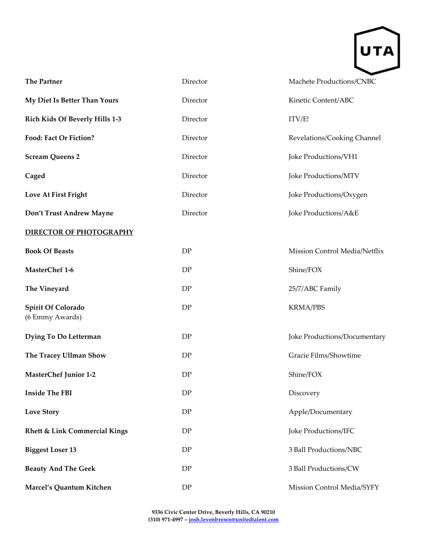

| <b>The Partner</b>                       | Director | Machete Productions/CNBC      |  |
|------------------------------------------|----------|-------------------------------|--|
| My Diet Is Better Than Yours             | Director | Kinetic Content/ABC           |  |
| Rich Kids Of Beverly Hills 1-3           | Director | ITV/E!                        |  |
| Food: Fact Or Fiction?                   | Director | Revelations/Cooking Channel   |  |
| <b>Scream Queens 2</b>                   | Director | Joke Productions/VH1          |  |
| Caged                                    | Director | Joke Productions/MTV          |  |
| Love At First Fright                     | Director | Joke Productions/Oxygen       |  |
| Don't Trust Andrew Mayne                 | Director | Joke Productions/A&E          |  |
| <b>DIRECTOR OF PHOTOGRAPHY</b>           |          |                               |  |
| <b>Book Of Beasts</b>                    | DP       | Mission Control Media/Netflix |  |
| MasterChef 1-6                           | DP       | Shine/FOX                     |  |
| The Vineyard                             | DP       | 25/7/ABC Family               |  |
| Spirit Of Colorado<br>(6 Emmy Awards)    | DP       | <b>KRMA/PBS</b>               |  |
| Dying To Do Letterman                    | DP       | Joke Productions/Documentary  |  |
| The Tracey Ullman Show                   | DP       | Gracie Films/Showtime         |  |
| <b>MasterChef Junior 1-2</b>             | DP       | Shine/FOX                     |  |
| <b>Inside The FBI</b>                    | DP       | Discovery                     |  |
| <b>Love Story</b>                        | DP       | Apple/Documentary             |  |
| <b>Rhett &amp; Link Commercial Kings</b> | DP       | Joke Productions/IFC          |  |
| <b>Biggest Loser 13</b>                  | DP       | 3 Ball Productions/NBC        |  |
| <b>Beauty And The Geek</b>               | DP       | 3 Ball Productions/CW         |  |
| Marcel's Quantum Kitchen                 | DP       | Mission Control Media/SYFY    |  |